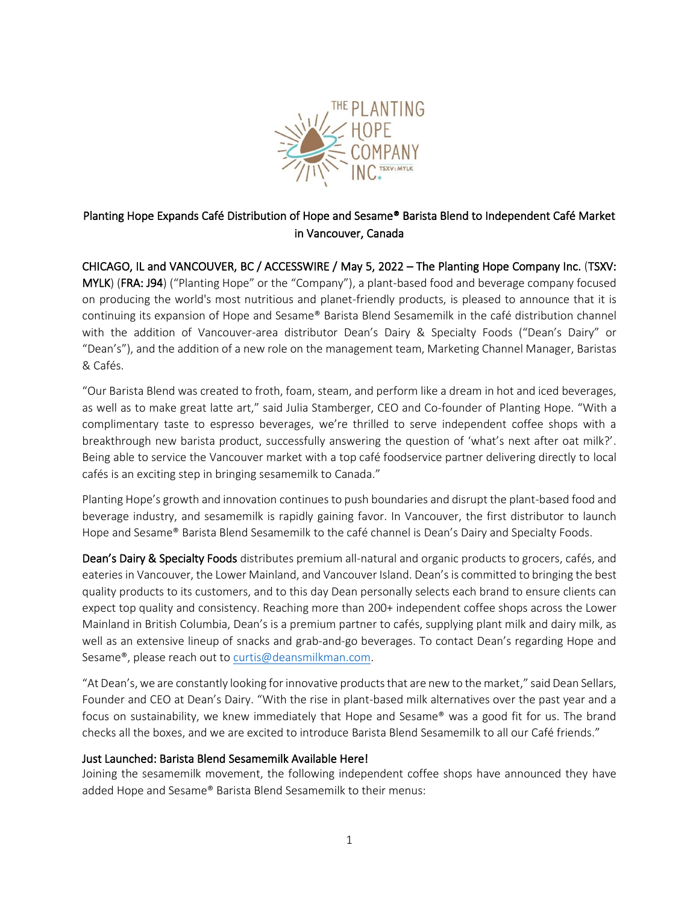

# Planting Hope Expands Café Distribution of Hope and Sesame® Barista Blend to Independent Café Market in Vancouver, Canada

CHICAGO, IL and VANCOUVER, BC / ACCESSWIRE / May 5, 2022 – The Planting Hope Company Inc. (TSXV: MYLK) (FRA: J94) ("Planting Hope" or the "Company"), a plant-based food and beverage company focused on producing the world's most nutritious and planet-friendly products, is pleased to announce that it is continuing its expansion of Hope and Sesame® Barista Blend Sesamemilk in the café distribution channel with the addition of Vancouver-area distributor Dean's Dairy & Specialty Foods ("Dean's Dairy" or "Dean's"), and the addition of a new role on the management team, Marketing Channel Manager, Baristas & Cafés.

"Our Barista Blend was created to froth, foam, steam, and perform like a dream in hot and iced beverages, as well as to make great latte art," said Julia Stamberger, CEO and Co-founder of Planting Hope. "With a complimentary taste to espresso beverages, we're thrilled to serve independent coffee shops with a breakthrough new barista product, successfully answering the question of 'what's next after oat milk?'. Being able to service the Vancouver market with a top café foodservice partner delivering directly to local cafés is an exciting step in bringing sesamemilk to Canada."

Planting Hope's growth and innovation continues to push boundaries and disrupt the plant-based food and beverage industry, and sesamemilk is rapidly gaining favor. In Vancouver, the first distributor to launch Hope and Sesame® Barista Blend Sesamemilk to the café channel is Dean's Dairy and Specialty Foods.

Dean's Dairy & Specialty Foods distributes premium all-natural and organic products to grocers, cafés, and eateries in Vancouver, the Lower Mainland, and Vancouver Island. Dean's is committed to bringing the best quality products to its customers, and to this day Dean personally selects each brand to ensure clients can expect top quality and consistency. Reaching more than 200+ independent coffee shops across the Lower Mainland in British Columbia, Dean's is a premium partner to cafés, supplying plant milk and dairy milk, as well as an extensive lineup of snacks and grab-and-go beverages. To contact Dean's regarding Hope and Sesame®, please reach out to [curtis@deansmilkman.com.](mailto:curtis@deansmilkman.com)

"At Dean's, we are constantly looking for innovative products that are new to the market," said Dean Sellars, Founder and CEO at Dean's Dairy. "With the rise in plant-based milk alternatives over the past year and a focus on sustainability, we knew immediately that Hope and Sesame® was a good fit for us. The brand checks all the boxes, and we are excited to introduce Barista Blend Sesamemilk to all our Café friends."

#### Just Launched: Barista Blend Sesamemilk Available Here!

Joining the sesamemilk movement, the following independent coffee shops have announced they have added Hope and Sesame® Barista Blend Sesamemilk to their menus: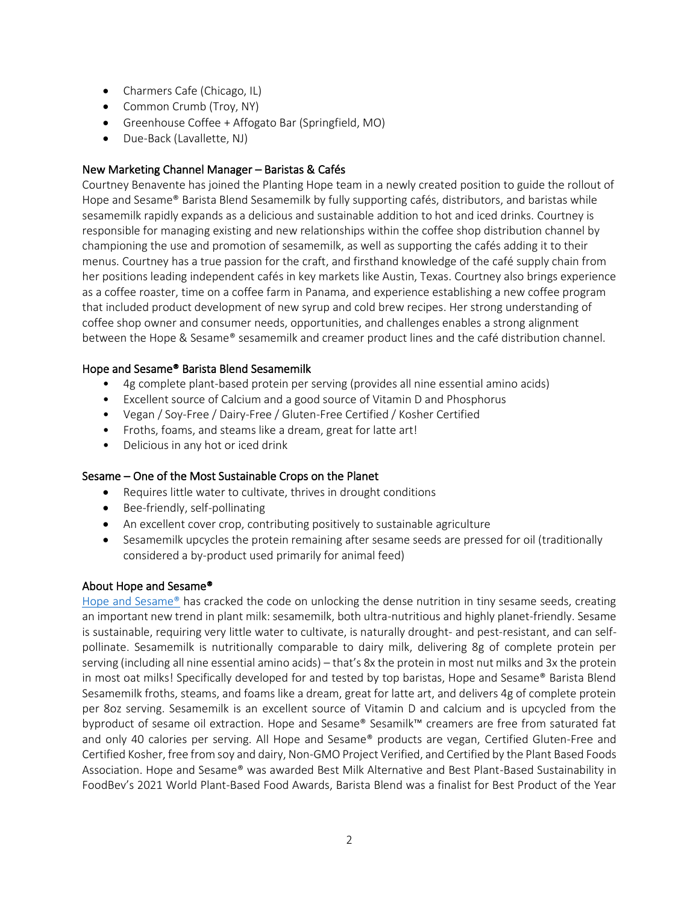- Charmers Cafe (Chicago, IL)
- Common Crumb (Troy, NY)
- Greenhouse Coffee + Affogato Bar (Springfield, MO)
- Due-Back (Lavallette, NJ)

# New Marketing Channel Manager – Baristas & Cafés

Courtney Benavente has joined the Planting Hope team in a newly created position to guide the rollout of Hope and Sesame® Barista Blend Sesamemilk by fully supporting cafés, distributors, and baristas while sesamemilk rapidly expands as a delicious and sustainable addition to hot and iced drinks. Courtney is responsible for managing existing and new relationships within the coffee shop distribution channel by championing the use and promotion of sesamemilk, as well as supporting the cafés adding it to their menus. Courtney has a true passion for the craft, and firsthand knowledge of the café supply chain from her positions leading independent cafés in key markets like Austin, Texas. Courtney also brings experience as a coffee roaster, time on a coffee farm in Panama, and experience establishing a new coffee program that included product development of new syrup and cold brew recipes. Her strong understanding of coffee shop owner and consumer needs, opportunities, and challenges enables a strong alignment between the Hope & Sesame® sesamemilk and creamer product lines and the café distribution channel.

# Hope and Sesame® Barista Blend Sesamemilk

- 4g complete plant-based protein per serving (provides all nine essential amino acids)
- Excellent source of Calcium and a good source of Vitamin D and Phosphorus
- Vegan / Soy-Free / Dairy-Free / Gluten-Free Certified / Kosher Certified
- Froths, foams, and steams like a dream, great for latte art!
- Delicious in any hot or iced drink

#### Sesame – One of the Most Sustainable Crops on the Planet

- Requires little water to cultivate, thrives in drought conditions
- Bee-friendly, self-pollinating
- An excellent cover crop, contributing positively to sustainable agriculture
- Sesamemilk upcycles the protein remaining after sesame seeds are pressed for oil (traditionally considered a by-product used primarily for animal feed)

#### About Hope and Sesame®

[Hope and Sesame®](https://www.hopeandsesame.com/) has cracked the code on unlocking the dense nutrition in tiny sesame seeds, creating an important new trend in plant milk: sesamemilk, both ultra-nutritious and highly planet-friendly. Sesame is sustainable, requiring very little water to cultivate, is naturally drought- and pest-resistant, and can selfpollinate. Sesamemilk is nutritionally comparable to dairy milk, delivering 8g of complete protein per serving (including all nine essential amino acids) – that's 8x the protein in most nut milks and 3x the protein in most oat milks! Specifically developed for and tested by top baristas, Hope and Sesame® Barista Blend Sesamemilk froths, steams, and foams like a dream, great for latte art, and delivers 4g of complete protein per 8oz serving. Sesamemilk is an excellent source of Vitamin D and calcium and is upcycled from the byproduct of sesame oil extraction. Hope and Sesame® Sesamilk™ creamers are free from saturated fat and only 40 calories per serving. All Hope and Sesame® products are vegan, Certified Gluten-Free and Certified Kosher, free from soy and dairy, Non-GMO Project Verified, and Certified by the Plant Based Foods Association. Hope and Sesame® was awarded Best Milk Alternative and Best Plant-Based Sustainability in FoodBev's 2021 World Plant-Based Food Awards, Barista Blend was a finalist for Best Product of the Year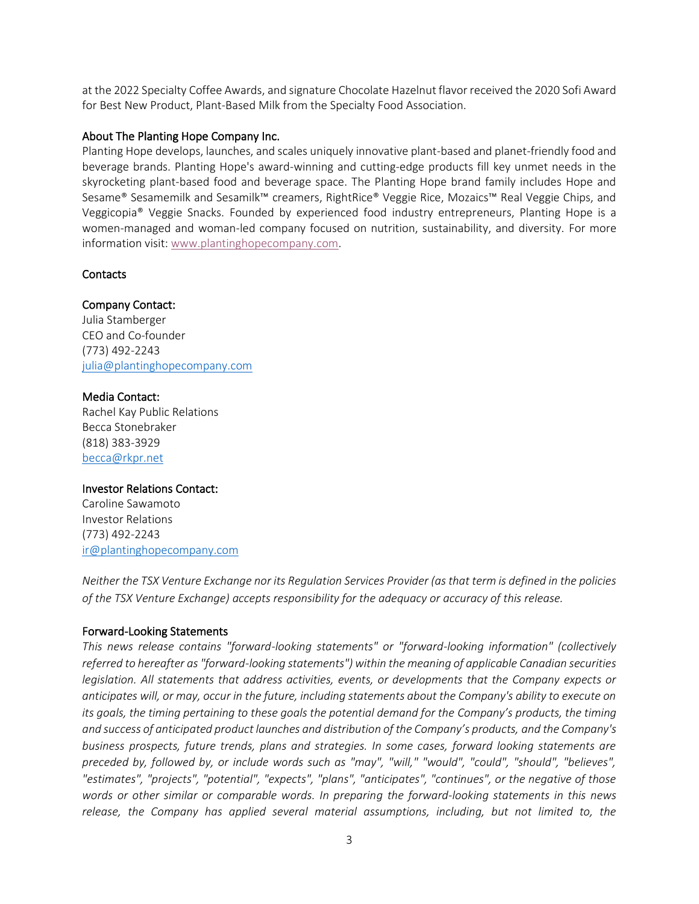at the 2022 Specialty Coffee Awards, and signature Chocolate Hazelnut flavor received the 2020 Sofi Award for Best New Product, Plant-Based Milk from the Specialty Food Association.

#### About The Planting Hope Company Inc.

Planting Hope develops, launches, and scales uniquely innovative plant-based and planet-friendly food and beverage brands. Planting Hope's award-winning and cutting-edge products fill key unmet needs in the skyrocketing plant-based food and beverage space. The Planting Hope brand family includes Hope and Sesame® Sesamemilk and Sesamilk™ creamers, RightRice® Veggie Rice, Mozaics™ Real Veggie Chips, and Veggicopia® Veggie Snacks. Founded by experienced food industry entrepreneurs, Planting Hope is a women-managed and woman-led company focused on nutrition, sustainability, and diversity. For more information visit: [www.plantinghopecompany.com.](http://www.plantinghopecompany.com/)

# **Contacts**

# Company Contact:

Julia Stamberger CEO and Co-founder (773) 492-2243 [julia@plantinghopecompany.com](mailto:julia@plantinghopecompany.com)

#### Media Contact:

Rachel Kay Public Relations Becca Stonebraker (818) 383-3929 [becca@rkpr.net](mailto:becca@rkpr.net)

#### Investor Relations Contact:

Caroline Sawamoto Investor Relations (773) 492-2243 <ir@plantinghopecompany.com>

*Neither the TSX Venture Exchange nor its Regulation Services Provider (as that term is defined in the policies of the TSX Venture Exchange) accepts responsibility for the adequacy or accuracy of this release.*

#### Forward-Looking Statements

*This news release contains "forward-looking statements" or "forward-looking information" (collectively referred to hereafter as "forward-looking statements") within the meaning of applicable Canadian securities legislation. All statements that address activities, events, or developments that the Company expects or anticipates will, or may, occur in the future, including statements about the Company's ability to execute on its goals, the timing pertaining to these goals the potential demand for the Company's products, the timing and success of anticipated product launches and distribution of the Company's products, and the Company's business prospects, future trends, plans and strategies. In some cases, forward looking statements are preceded by, followed by, or include words such as "may", "will," "would", "could", "should", "believes", "estimates", "projects", "potential", "expects", "plans", "anticipates", "continues", or the negative of those words or other similar or comparable words. In preparing the forward-looking statements in this news release, the Company has applied several material assumptions, including, but not limited to, the*